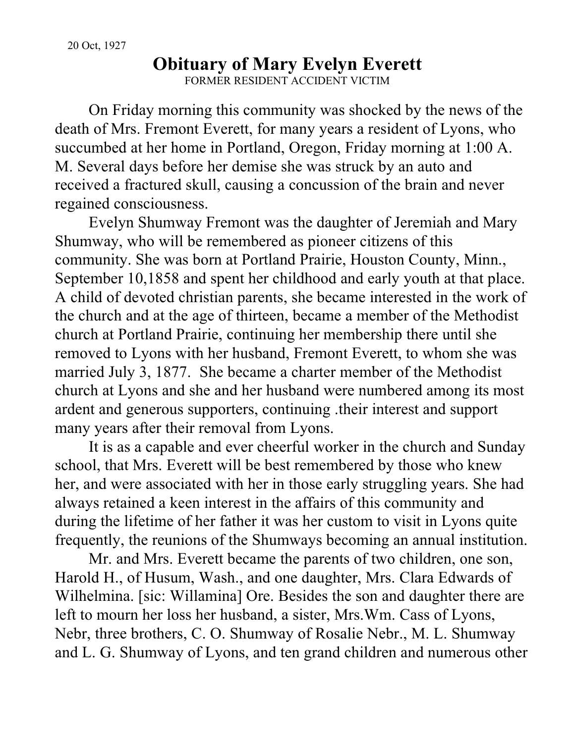## **Obituary of Mary Evelyn Everett** FORMER RESIDENT ACCIDENT VICTIM

On Friday morning this community was shocked by the news of the death of Mrs. Fremont Everett, for many years a resident of Lyons, who succumbed at her home in Portland, Oregon, Friday morning at 1:00 A. M. Several days before her demise she was struck by an auto and received a fractured skull, causing a concussion of the brain and never regained consciousness.

Evelyn Shumway Fremont was the daughter of Jeremiah and Mary Shumway, who will be remembered as pioneer citizens of this community. She was born at Portland Prairie, Houston County, Minn., September 10,1858 and spent her childhood and early youth at that place. A child of devoted christian parents, she became interested in the work of the church and at the age of thirteen, became a member of the Methodist church at Portland Prairie, continuing her membership there until she removed to Lyons with her husband, Fremont Everett, to whom she was married July 3, 1877. She became a charter member of the Methodist church at Lyons and she and her husband were numbered among its most ardent and generous supporters, continuing .their interest and support many years after their removal from Lyons.

It is as a capable and ever cheerful worker in the church and Sunday school, that Mrs. Everett will be best remembered by those who knew her, and were associated with her in those early struggling years. She had always retained a keen interest in the affairs of this community and during the lifetime of her father it was her custom to visit in Lyons quite frequently, the reunions of the Shumways becoming an annual institution.

Mr. and Mrs. Everett became the parents of two children, one son, Harold H., of Husum, Wash., and one daughter, Mrs. Clara Edwards of Wilhelmina. [sic: Willamina] Ore. Besides the son and daughter there are left to mourn her loss her husband, a sister, Mrs.Wm. Cass of Lyons, Nebr, three brothers, C. O. Shumway of Rosalie Nebr., M. L. Shumway and L. G. Shumway of Lyons, and ten grand children and numerous other